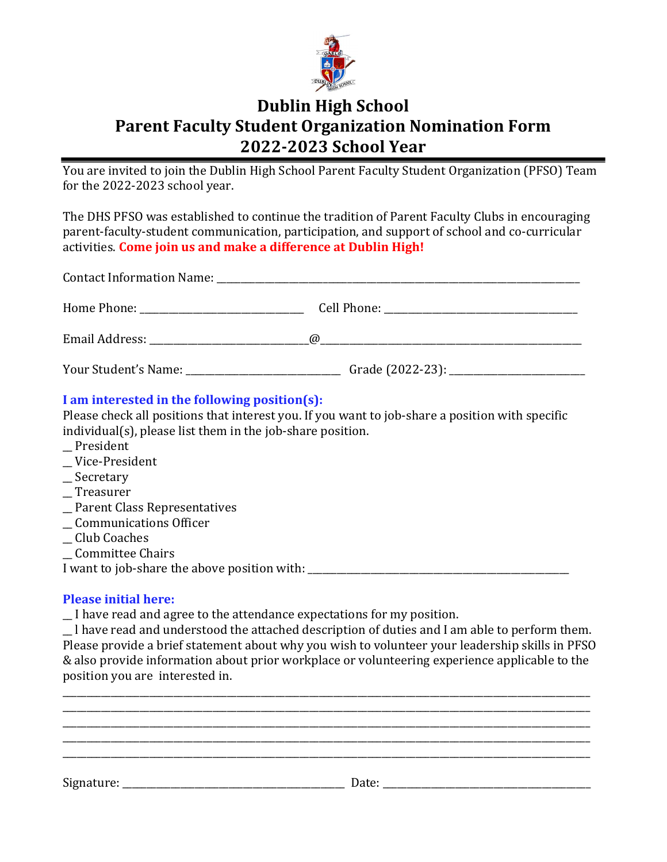

## Dublin High School Parent Faculty Student Organization Nomination Form 2022-2023 School Year

You are invited to join the Dublin High School Parent Faculty Student Organization (PFSO) Team for the 2022-2023 school year.

The DHS PFSO was established to continue the tradition of Parent Faculty Clubs in encouraging parent-faculty-student communication, participation, and support of school and co-curricular activities. Come join us and make a difference at Dublin High!

| Your Student's Name: The Student's Name: |  |
|------------------------------------------|--|

## I am interested in the following position(s):

Please check all positions that interest you. If you want to job-share a position with specific individual(s), please list them in the job-share position.

- \_\_ President
- \_\_ Vice-President
- \_\_ Secretary
- \_\_ Treasurer
- \_\_ Parent Class Representatives
- \_\_ Communications Officer
- \_\_ Club Coaches
- \_\_ Committee Chairs

I want to job-share the above position with: \_\_\_\_\_\_\_\_\_\_\_\_\_\_\_\_\_\_\_\_\_\_\_\_\_\_\_\_\_\_\_\_\_\_\_\_\_\_\_\_\_\_\_\_\_\_\_\_\_\_\_\_\_\_

## Please initial here:

\_\_ I have read and agree to the attendance expectations for my position.

\_\_ l have read and understood the attached description of duties and I am able to perform them. Please provide a brief statement about why you wish to volunteer your leadership skills in PFSO & also provide information about prior workplace or volunteering experience applicable to the position you are interested in.

\_\_\_\_\_\_\_\_\_\_\_\_\_\_\_\_\_\_\_\_\_\_\_\_\_\_\_\_\_\_\_\_\_\_\_\_\_\_\_\_\_\_\_\_\_\_\_\_\_\_\_\_\_\_\_\_\_\_\_\_\_\_\_\_\_\_\_\_\_\_\_\_\_\_\_\_\_\_\_\_\_\_\_\_\_\_\_\_\_\_\_\_\_\_\_\_\_\_\_\_\_\_\_\_\_\_\_\_\_ \_\_\_\_\_\_\_\_\_\_\_\_\_\_\_\_\_\_\_\_\_\_\_\_\_\_\_\_\_\_\_\_\_\_\_\_\_\_\_\_\_\_\_\_\_\_\_\_\_\_\_\_\_\_\_\_\_\_\_\_\_\_\_\_\_\_\_\_\_\_\_\_\_\_\_\_\_\_\_\_\_\_\_\_\_\_\_\_\_\_\_\_\_\_\_\_\_\_\_\_\_\_\_\_\_\_\_\_\_ \_\_\_\_\_\_\_\_\_\_\_\_\_\_\_\_\_\_\_\_\_\_\_\_\_\_\_\_\_\_\_\_\_\_\_\_\_\_\_\_\_\_\_\_\_\_\_\_\_\_\_\_\_\_\_\_\_\_\_\_\_\_\_\_\_\_\_\_\_\_\_\_\_\_\_\_\_\_\_\_\_\_\_\_\_\_\_\_\_\_\_\_\_\_\_\_\_\_\_\_\_\_\_\_\_\_\_\_\_ \_\_\_\_\_\_\_\_\_\_\_\_\_\_\_\_\_\_\_\_\_\_\_\_\_\_\_\_\_\_\_\_\_\_\_\_\_\_\_\_\_\_\_\_\_\_\_\_\_\_\_\_\_\_\_\_\_\_\_\_\_\_\_\_\_\_\_\_\_\_\_\_\_\_\_\_\_\_\_\_\_\_\_\_\_\_\_\_\_\_\_\_\_\_\_\_\_\_\_\_\_\_\_\_\_\_\_\_\_ \_\_\_\_\_\_\_\_\_\_\_\_\_\_\_\_\_\_\_\_\_\_\_\_\_\_\_\_\_\_\_\_\_\_\_\_\_\_\_\_\_\_\_\_\_\_\_\_\_\_\_\_\_\_\_\_\_\_\_\_\_\_\_\_\_\_\_\_\_\_\_\_\_\_\_\_\_\_\_\_\_\_\_\_\_\_\_\_\_\_\_\_\_\_\_\_\_\_\_\_\_\_\_\_\_\_\_\_\_ Signature: \_\_\_\_\_\_\_\_\_\_\_\_\_\_\_\_\_\_\_\_\_\_\_\_\_\_\_\_\_\_\_\_\_\_\_\_\_\_\_\_\_\_\_\_\_\_ Date: \_\_\_\_\_\_\_\_\_\_\_\_\_\_\_\_\_\_\_\_\_\_\_\_\_\_\_\_\_\_\_\_\_\_\_\_\_\_\_\_\_\_\_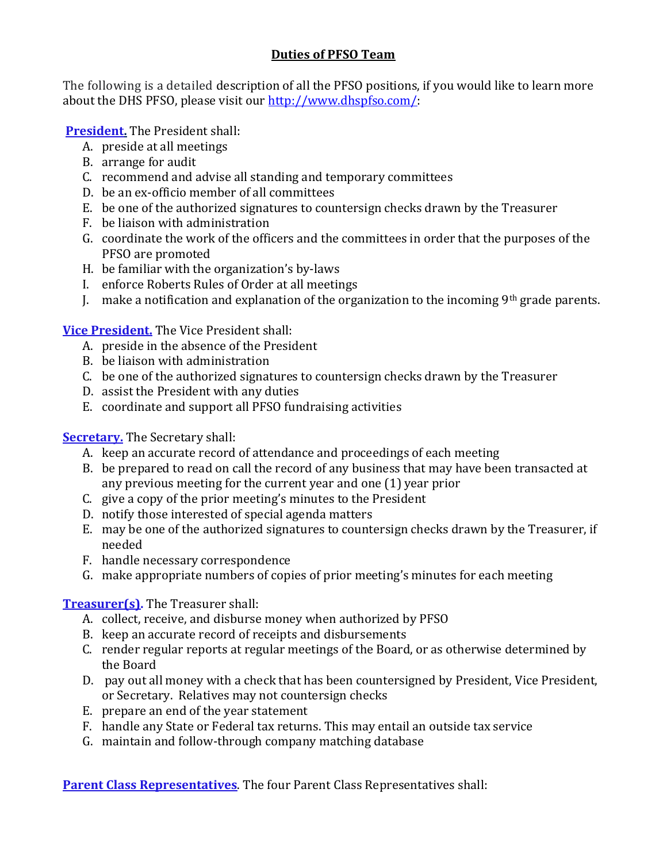## Duties of PFSO Team

The following is a detailed description of all the PFSO positions, if you would like to learn more about the DHS PFSO, please visit our http://www.dhspfso.com/:

President. The President shall:

- A. preside at all meetings
- B. arrange for audit
- C. recommend and advise all standing and temporary committees
- D. be an ex-officio member of all committees
- E. be one of the authorized signatures to countersign checks drawn by the Treasurer
- F. be liaison with administration
- G. coordinate the work of the officers and the committees in order that the purposes of the PFSO are promoted
- H. be familiar with the organization's by-laws
- I. enforce Roberts Rules of Order at all meetings
- J. make a notification and explanation of the organization to the incoming  $9<sup>th</sup>$  grade parents.

Vice President. The Vice President shall:

- A. preside in the absence of the President
- B. be liaison with administration
- C. be one of the authorized signatures to countersign checks drawn by the Treasurer
- D. assist the President with any duties
- E. coordinate and support all PFSO fundraising activities

**Secretary.** The Secretary shall:

- A. keep an accurate record of attendance and proceedings of each meeting
- B. be prepared to read on call the record of any business that may have been transacted at any previous meeting for the current year and one (1) year prior
- C. give a copy of the prior meeting's minutes to the President
- D. notify those interested of special agenda matters
- E. may be one of the authorized signatures to countersign checks drawn by the Treasurer, if needed
- F. handle necessary correspondence
- G. make appropriate numbers of copies of prior meeting's minutes for each meeting

Treasurer(s). The Treasurer shall:

- A. collect, receive, and disburse money when authorized by PFSO
- B. keep an accurate record of receipts and disbursements
- C. render regular reports at regular meetings of the Board, or as otherwise determined by the Board
- D. pay out all money with a check that has been countersigned by President, Vice President, or Secretary. Relatives may not countersign checks
- E. prepare an end of the year statement
- F. handle any State or Federal tax returns. This may entail an outside tax service
- G. maintain and follow-through company matching database

Parent Class Representatives. The four Parent Class Representatives shall: